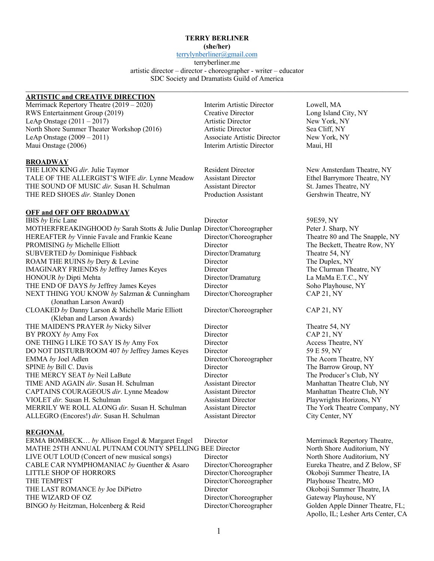#### **TERRY BERLINER**

**(she/her)**

terrylynberliner@gmail.com terryberliner.me artistic director – director - choreographer - writer – educator SDC Society and Dramatists Guild of America

## **ARTISTIC and CREATIVE DIRECTION**

Merrimack Repertory Theatre (2019 – 2020) Interim Artistic Director Lowell, MA RWS Entertainment Group (2019) Creative Director Long Island City, NY LeAp Onstage (2011 – 2017) Artistic Director New York, NY North Shore Summer Theater Workshop (2016) Artistic Director Sea Cliff, NY LeAp Onstage (2009 – 2011) Associate Artistic Director New York, NY Maui Onstage (2006) Interim Artistic Director Maui, HI

## **BROADWAY**

THE LION KING *dir.* Julie Taymor **Resident Director** New Amsterdam Theatre, NY TALE OF THE ALLERGIST'S WIFE *dir.* Lynne Meadow Assistant Director Ethel Barrymore Theatre, NY THE SOUND OF MUSIC *dir*. Susan H. Schulman Assistant Director St. James Theatre, NY THE RED SHOES *dir*. Stanley Donen Production Assistant Gershwin Theatre, NY

## **OFF and OFF OFF BROADWAY**

IBIS *by* Eric Lane Director 59E59, NY MOTHERFREAKINGHOOD by Sarah Stotts & Julie Dunlap Director/Choreographer Peter J. Sharp, NY HEREAFTER *by* Vinnie Favale and Frankie Keane Director/Choreographer Theatre 80 and The Snapple, NY PROMISING *by* Michelle Elliott Director Director Director The Beckett, Theatre Row, NY<br>SUBVERTED *by* Dominique Fishback Director/Dramaturg Theatre 54, NY SUBVERTED *by* Dominique Fishback Director/Dramaturg Theatre 54, NY ROAM THE RUINS *by* Dery & Levine Director Director The Duplex, NY IMAGINARY FRIENDS *by* Jeffrey James Keyes Director The Clurman Theatre, NY HONOUR *by* Dipti Mehta Director/Dramaturg La MaMa E.T.C., NY THE END OF DAYS *by* Jeffrey James Keyes Director Director Soho Playhouse, NY NEXT THING YOU KNOW *by* Salzman & Cunningham Director/Choreographer CAP 21, NY (Jonathan Larson Award) CLOAKED *by* Danny Larson & Michelle Marie Elliott Director/Choreographer CAP 21, NY (Kleban and Larson Awards) THE MAIDEN'S PRAYER *by* Nicky Silver Director Director Theatre 54, NY BY PROXY *by* Amy Fox Director CAP 21, NY ONE THING I LIKE TO SAY IS *by* Amy Fox Director Director Access Theatre, NY DO NOT DISTURB/ROOM 407 *by* Jeffrey James Keyes Director 59 E 59, NY EMMA *by* Joel Adlen Director/Choreographer The Acorn Theatre, NY SPINE *by* Bill C. Davis Director Director The Barrow Group, NY THE MERCY SEAT *by* Neil LaBute Director Director The Producer's Club, NY TIME AND AGAIN *dir*. Susan H. Schulman Assistant Director Manhattan Theatre Club, NY CAPTAINS COURAGEOUS dir. Lynne Meadow Assistant Director Manhattan Theatre Club, NY VIOLET *dir.* Susan H. Schulman Assistant Director Playwrights Horizons, NY MERRILY WE ROLL ALONG *dir.* Susan H. Schulman Assistant Director The York Theatre Company, NY ALLEGRO (Encores!) *dir.* Susan H. Schulman Assistant Director City Center, NY

# **REGIONAL**

ERMA BOMBECK... *by* Allison Engel & Margaret Engel Director Merrimack Repertory Theatre, MATHE 25TH ANNUAL PUTNAM COUNTY SPELLING BEE Director North Shore Auditorium, NY MATHE 25TH ANNUAL PUTNAM COUNTY SPELLING BEE Director LIVE OUT LOUD (Concert of new musical songs) Director North Shore Auditorium, NY CABLE CAR NYMPHOMANIAC by Guenther & Asaro Director/Choreographer Eureka Theatre, and Z Below, SF LITTLE SHOP OF HORRORS Director/Choreographer Okoboji Summer Theatre, IA THE TEMPEST Director/Choreographer Playhouse Theatre, MO THE LAST ROMANCE by Joe DiPietro Director Director Director Okoboji Summer Theatre, IA THE WIZARD OF OZ Director/Choreographer Gateway Playhouse, NY BINGO by Heitzman, Holcenberg & Reid Director/Choreographer Golden Apple Dinner Theatre, FL;

Apollo, IL; Lesher Arts Center, CA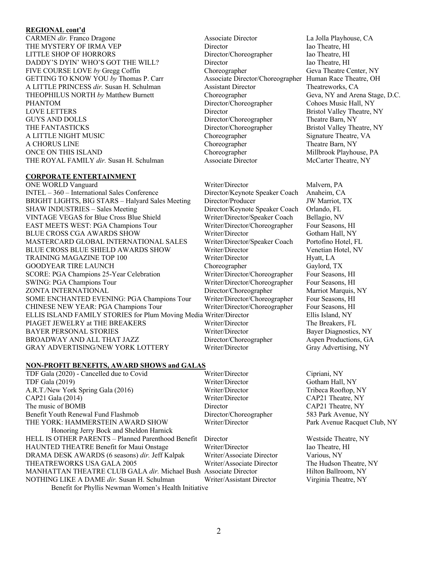#### **REGIONAL cont'd**

CARMEN *dir*. Franco Dragone Associate Director La Jolla Playhouse, CA THE MYSTERY OF IRMA VEP Director **Director** Iao Theatre, HI LITTLE SHOP OF HORRORS Director/Choreographer Iao Theatre, HI DADDY'S DYIN' WHO'S GOT THE WILL? Director Director Iao Theatre, HI FIVE COURSE LOVE *by* Gregg Coffin Choreographer Geva Theatre Center, NY GETTING TO KNOW YOU by Thomas P. Carr Associate Director/Choreographer Human Race Theatre, OH A LITTLE PRINCESS *dir.* Susan H. Schulman Assistant Director Theatreworks, CA THEOPHILUS NORTH *by* Matthew Burnett Choreographer Geva, NY and Arena Stage, D.C. PHANTOM Director/Choreographer Cohoes Music Hall, NY LOVE LETTERS Director Bristol Valley Theatre, NY GUYS AND DOLLS Director/Choreographer Theatre Barn, NY THE FANTASTICKS Director/Choreographer Bristol Valley Theatre, NY A LITTLE NIGHT MUSIC Choreographer Signature Theatre, VA A CHORUS LINE Choreographer Theatre Barn, NY ONCE ON THIS ISLAND Choreographer Millbrook Playhouse, PA THE ROYAL FAMILY *dir*. Susan H. Schulman Associate Director McCarter Theatre, NY

## **CORPORATE ENTERTAINMENT**

ONE WORLD Vanguard **Writer/Director** Malvern, PA INTEL – 360 – International Sales Conference Director/Keynote Speaker Coach Anaheim, CA BRIGHT LIGHTS, BIG STARS – Halyard Sales Meeting Director/Producer JW Marriot, TX SHAW INDUSTRIES – Sales Meeting Director/Keynote Speaker Coach Orlando, FL VINTAGE VEGAS for Blue Cross Blue Shield Writer/Director/Speaker Coach Bellagio, NV EAST MEETS WEST: PGA Champions Tour Writer/Director/Choreographer Four Seasons, HI BLUE CROSS CGA AWARDS SHOW Writer/Director Gotham Hall, NY MASTERCARD GLOBAL INTERNATIONAL SALES Writer/Director/Speaker Coach Portofino Hotel, FL BLUE CROSS BLUE SHIELD AWARDS SHOW Writer/Director Venetian Hotel, NV TRAINING MAGAZINE TOP 100 Writer/Director Hyatt, LA GOODYEAR TIRE LAUNCH Choreographer Gaylord, TX SCORE: PGA Champions 25-Year Celebration Writer/Director/Choreographer Four Seasons, HI SWING: PGA Champions Tour Writer/Director/Choreographer Four Seasons, HI ZONTA INTERNATIONAL Director/Choreographer Marriot Marquis, NY SOME ENCHANTED EVENING: PGA Champions Tour Writer/Director/Choreographer Four Seasons, HI CHINESE NEW YEAR: PGA Champions Tour Writer/Director/Choreographer Four Seasons, HI ELLIS ISLAND FAMILY STORIES for Plum Moving Media Writer/Director Ellis Island, NY<br>PIAGET JEWELRY at THE BREAKERS Writer/Director The Breakers. F PIAGET JEWELRY at THE BREAKERS Writer/Director The Breakers, FL BAYER PERSONAL STORIES Writer/Director Bayer Diagnostics, NY BROADWAY AND ALL THAT JAZZ Director/Choreographer Aspen Productions, GA GRAY ADVERTISING/NEW YORK LOTTERY Writer/Director Gray Advertising, NY

## **NON-PROFIT BENEFITS, AWARD SHOWS and GALAS**

TDF Gala (2020) - Cancelled due to Covid Writer/Director Cipriani, NY TDF Gala (2019) Writer/Director Gotham Hall, NY A.R.T./New York Spring Gala (2016) Writer/Director Tribeca Rooftop, NY<br>CAP21 Gala (2014) Writer/Director CAP21 Theatre, NY CAP21 Gala (2014) Writer/Director CAP21 Theatre, NY The music of BOMB **Director** Director CAP21 Theatre, NY Benefit Youth Renewal Fund Flashmob Director/Choreographer 583 Park Avenue, NY THE YORK: HAMMERSTEIN AWARD SHOW Writer/Director Park Avenue Racquet Club, NY Honoring Jerry Bock and Sheldon Harnick HELL IS OTHER PARENTS – Planned Parenthood Benefit Director Westside Theatre, NY HAUNTED THEATRE Benefit for Maui Onstage Writer/Director Iao Theatre, HI DRAMA DESK AWARDS (6 seasons) *dir.* Jeff Kalpak Writer/Associate Director Various, NY THEATREWORKS USA GALA 2005 Writer/Associate Director The Hudson Theatre, NY MANHATTAN THEATRE CLUB GALA *dir*. Michael Bush Associate Director Hilton Ballroom, NY NOTHING LIKE A DAME *dir.* Susan H. Schulman Writer/Assistant Director Virginia Theatre, NY Benefit for Phyllis Newman Women's Health Initiative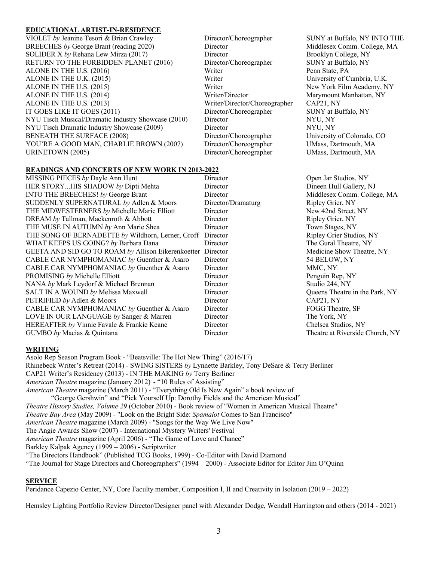#### **EDUCATIONAL ARTIST-IN-RESIDENCE**

VIOLET *by* Jeanine Tesori & Brian Crawley Director/Choreographer SUNY at Buffalo, NY INTO THE BREECHES by George Brant (reading 2020) Director Middlesex Comm. College, MA SOLIDER X by Rehana Lew Mirza (2017) Director Brooklyn College, NY RETURN TO THE FORBIDDEN PLANET (2016) Director/Choreographer SUNY at Buffalo, NY ALONE IN THE U.S. (2016) Writer Penn State, PA ALONE IN THE U.K. (2015) Writer Writer University of Cumbria, U.K. ALONE IN THE U.S. (2015) THE U.S. (2015) Writer New York Film Academy, NY ALONE IN THE U.S. (2014) THE U.S. (2014) Writer/Director Marymount Manhattan, NY ALONE IN THE U.S. (2013) Writer/Director/Choreographer CAP21, NY IT GOES LIKE IT GOES (2011) Director/Choreographer SUNY at Buffalo, NY NYU Tisch Musical/Dramatic Industry Showcase (2010) Director NYU, NY NYU Tisch Dramatic Industry Showcase (2009) Director NYU, NY BENEATH THE SURFACE (2008) Director/Choreographer University of Colorado, CO YOU'RE A GOOD MAN, CHARLIE BROWN (2007) Director/Choreographer UMass, Dartmouth, MA URINETOWN (2005) Director/Choreographer UMass, Dartmouth, MA

## **READINGS AND CONCERTS OF NEW WORK IN 2013-2022**

| MISSING PIECES by Dayle Ann Hunt                   | Director           | Open Jar Studios, NY            |
|----------------------------------------------------|--------------------|---------------------------------|
| HER STORYHIS SHADOW by Dipti Mehta                 | Director           | Dineen Hull Gallery, NJ         |
| INTO THE BREECHES! by George Brant                 | Director           | Middlesex Comm. College, MA     |
| SUDDENLY SUPERNATURAL by Adlen & Moors             | Director/Dramaturg | Ripley Grier, NY                |
| THE MIDWESTERNERS by Michelle Marie Elliott        | Director           | New 42nd Street, NY             |
| DREAM by Tallman, Mackenroth & Abbott              | Director           | Ripley Grier, NY                |
| THE MUSE IN AUTUMN by Ann Marie Shea               | Director           | Town Stages, NY                 |
| THE SONG OF BERNADETTE by Wildhorn, Lerner, Groff  | Director           | Ripley Grier Studios, NY        |
| WHAT KEEPS US GOING? by Barbara Dana               | Director           | The Gural Theatre, NY           |
| GEETA AND SID GO TO ROAM by Allison Eikerenkoetter | Director           | Medicine Show Theatre, NY       |
| CABLE CAR NYMPHOMANIAC by Guenther & Asaro         | Director           | 54 BELOW, NY                    |
| CABLE CAR NYMPHOMANIAC by Guenther & Asaro         | Director           | MMC, NY                         |
| PROMISING by Michelle Elliott                      | Director           | Penguin Rep, NY                 |
| NANA by Mark Leydorf & Michael Brennan             | Director           | Studio 244, NY                  |
| SALT IN A WOUND by Melissa Maxwell                 | Director           | Queens Theatre in the Park, NY  |
| PETRIFIED by Adlen & Moors                         | Director           | CAP21, NY                       |
| CABLE CAR NYMPHOMANIAC by Guenther & Asaro         | Director           | FOGG Theatre, SF                |
| LOVE IN OUR LANGUAGE by Sanger & Marren            | Director           | The York, NY                    |
| HEREAFTER by Vinnie Favale & Frankie Keane         | Director           | Chelsea Studios, NY             |
| GUMBO by Macias & Quintana                         | Director           | Theatre at Riverside Church, NY |
|                                                    |                    |                                 |

#### **WRITING**

Asolo Rep Season Program Book - "Beatsville: The Hot New Thing" (2016/17) Rhinebeck Writer's Retreat (2014) - SWING SISTERS *by* Lynnette Barkley, Tony DeSare & Terry Berliner CAP21 Writer's Residency (2013) - IN THE MAKING *by* Terry Berliner *American Theatre* magazine (January 2012) - "10 Rules of Assisting" *American Theatre* magazine (March 2011) - "Everything Old Is New Again" a book review of "George Gershwin" and "Pick Yourself Up: Dorothy Fields and the American Musical" *Theatre History Studies, Volume 29* (October 2010) - Book review of "Women in American Musical Theatre" *Theatre Bay Area* (May 2009) - "Look on the Bright Side: *Spamalot* Comes to San Francisco" *American Theatre* magazine (March 2009) - "Songs for the Way We Live Now" The Angie Awards Show (2007) - International Mystery Writers' Festival *American Theatre* magazine (April 2006) - "The Game of Love and Chance" Barkley Kalpak Agency (1999 – 2006) - Scriptwriter "The Directors Handbook" (Published TCG Books, 1999) - Co-Editor with David Diamond "The Journal for Stage Directors and Choreographers" (1994 – 2000) - Associate Editor for Editor Jim O'Quinn

#### **SERVICE**

Peridance Capezio Center, NY, Core Faculty member, Composition I, II and Creativity in Isolation (2019 – 2022)

Hemsley Lighting Portfolio Review Director/Designer panel with Alexander Dodge, Wendall Harrington and others (2014 - 2021)